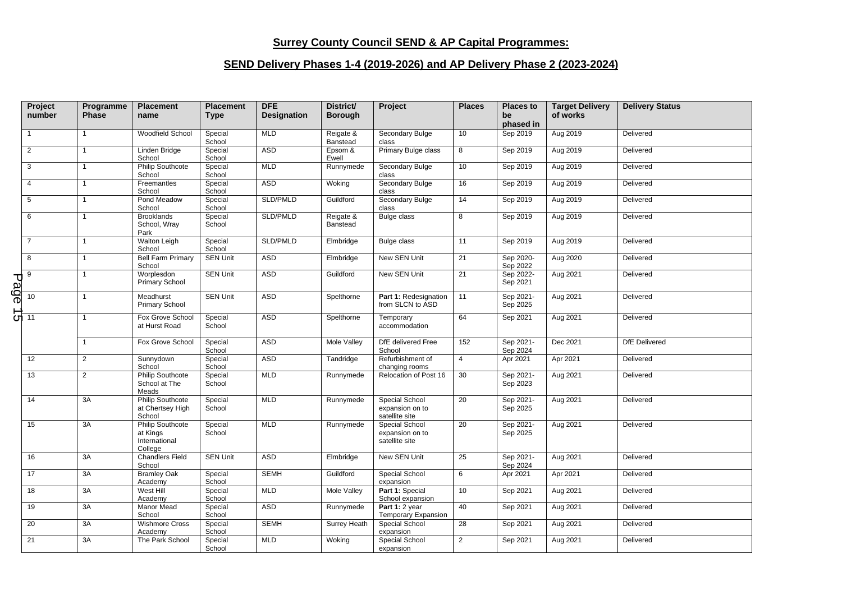## **Surrey County Council SEND & AP Capital Programmes:**

## **SEND Delivery Phases 1-4 (2019-2026) and AP Delivery Phase 2 (2023-2024)**

|      | Project<br>number            | Programme<br><b>Phase</b> | <b>Placement</b><br>name                                        | <b>Placement</b><br><b>Type</b> | <b>DFE</b><br><b>Designation</b> | District/<br><b>Borough</b> | Project                                             | <b>Places</b>  | <b>Places to</b><br>be<br>phased in | <b>Target Delivery</b><br>of works | <b>Delivery Status</b> |
|------|------------------------------|---------------------------|-----------------------------------------------------------------|---------------------------------|----------------------------------|-----------------------------|-----------------------------------------------------|----------------|-------------------------------------|------------------------------------|------------------------|
|      |                              | $\mathbf{1}$              | Woodfield School                                                | Special<br>School               | <b>MLD</b>                       | Reigate &<br>Banstead       | Secondary Bulge<br>class                            | 10             | Sep 2019                            | Aug 2019                           | Delivered              |
|      | $\overline{2}$               | $\mathbf{1}$              | Linden Bridge<br>School                                         | Special<br>School               | <b>ASD</b>                       | Epsom &<br>Ewell            | Primary Bulge class                                 | 8              | Sep 2019                            | Aug 2019                           | Delivered              |
|      | 3                            | $\mathbf{1}$              | <b>Philip Southcote</b><br>School                               | Special<br>School               | <b>MLD</b>                       | Runnymede                   | Secondary Bulge<br>class                            | 10             | Sep 2019                            | Aug 2019                           | Delivered              |
|      | $\overline{4}$               | $\overline{1}$            | Freemantles<br>School                                           | Special<br>School               | ASD                              | Woking                      | Secondary Bulge<br>class                            | 16             | Sep 2019                            | Aug 2019                           | Delivered              |
|      | 5                            | $\mathbf{1}$              | Pond Meadow<br>School                                           | Special<br>School               | SLD/PMLD                         | Guildford                   | Secondary Bulge<br>class                            | 14             | Sep 2019                            | Aug 2019                           | Delivered              |
|      | 6                            | $\mathbf{1}$              | <b>Brooklands</b><br>School, Wray<br>Park                       | Special<br>School               | SLD/PMLD                         | Reigate &<br>Banstead       | Bulge class                                         | 8              | Sep 2019                            | Aug 2019                           | Delivered              |
|      | $\overline{7}$               | $\mathbf{1}$              | Walton Leigh<br>School                                          | Special<br>School               | SLD/PMLD                         | Elmbridge                   | Bulge class                                         | 11             | Sep 2019                            | Aug 2019                           | Delivered              |
|      | 8                            | $\mathbf{1}$              | <b>Bell Farm Primary</b><br>School                              | <b>SEN Unit</b>                 | ASD                              | Elmbridge                   | New SEN Unit                                        | 21             | Sep 2020-<br>Sep 2022               | Aug 2020                           | Delivered              |
| Page | 9                            | $\mathbf{1}$              | Worplesdon<br>Primary School                                    | <b>SEN Unit</b>                 | ASD                              | Guildford                   | New SEN Unit                                        | 21             | Sep 2022-<br>Sep 2021               | Aug 2021                           | Delivered              |
|      | 10                           | $\mathbf{1}$              | Meadhurst<br>Primary School                                     | <b>SEN Unit</b>                 | <b>ASD</b>                       | Spelthorne                  | Part 1: Redesignation<br>from SLCN to ASD           | 11             | Sep 2021-<br>Sep 2025               | Aug 2021                           | Delivered              |
|      | $\overline{G}$ <sup>11</sup> | $\mathbf{1}$              | Fox Grove School<br>at Hurst Road                               | Special<br>School               | ASD                              | Spelthorne                  | Temporary<br>accommodation                          | 64             | Sep 2021                            | Aug 2021                           | Delivered              |
|      |                              | $\mathbf{1}$              | Fox Grove School                                                | Special<br>School               | ASD                              | Mole Valley                 | DfE delivered Free<br>School                        | 152            | Sep 2021-<br>Sep 2024               | Dec 2021                           | <b>DfE</b> Delivered   |
|      | 12                           | $\overline{2}$            | Sunnydown<br>School                                             | Special<br>School               | ASD                              | Tandridge                   | Refurbishment of<br>changing rooms                  | $\overline{4}$ | Apr 2021                            | Apr 2021                           | Delivered              |
|      | 13                           | $\overline{2}$            | <b>Philip Southcote</b><br>School at The<br>Meads               | Special<br>School               | <b>MLD</b>                       | Runnymede                   | Relocation of Post 16                               | 30             | Sep 2021-<br>Sep 2023               | Aug 2021                           | Delivered              |
|      | 14                           | 3A                        | <b>Philip Southcote</b><br>at Chertsey High<br>School           | Special<br>School               | <b>MLD</b>                       | Runnymede                   | Special School<br>expansion on to<br>satellite site | 20             | Sep 2021-<br>Sep 2025               | Aug 2021                           | Delivered              |
|      | 15                           | 3A                        | <b>Philip Southcote</b><br>at Kings<br>International<br>College | Special<br>School               | <b>MLD</b>                       | Runnymede                   | Special School<br>expansion on to<br>satellite site | 20             | Sep 2021-<br>Sep 2025               | Aug 2021                           | Delivered              |
|      | 16                           | 3A                        | <b>Chandlers Field</b><br>School                                | <b>SEN Unit</b>                 | <b>ASD</b>                       | Elmbridge                   | New SEN Unit                                        | 25             | Sep 2021-<br>Sep 2024               | Aug 2021                           | Delivered              |
|      | 17                           | 3A                        | <b>Bramley Oak</b><br>Academy                                   | Special<br>School               | <b>SEMH</b>                      | Guildford                   | Special School<br>expansion                         | 6              | Apr 2021                            | Apr 2021                           | Delivered              |
|      | 18                           | 3A                        | West Hill<br>Academy                                            | Special<br>School               | <b>MLD</b>                       | Mole Valley                 | Part 1: Special<br>School expansion                 | 10             | Sep 2021                            | Aug 2021                           | Delivered              |
|      | 19                           | 3A                        | Manor Mead<br>School                                            | Special<br>School               | ASD                              | Runnymede                   | Part 1: 2 year<br>Temporary Expansion               | 40             | Sep 2021                            | Aug 2021                           | Delivered              |
|      | 20                           | 3A                        | <b>Wishmore Cross</b><br>Academy                                | Special<br>School               | <b>SEMH</b>                      | <b>Surrey Heath</b>         | <b>Special School</b><br>expansion                  | 28             | Sep 2021                            | Aug 2021                           | Delivered              |
|      | 21                           | 3A                        | The Park School                                                 | Special<br>School               | <b>MLD</b>                       | Woking                      | Special School<br>expansion                         | $\overline{2}$ | Sep 2021                            | Aug 2021                           | Delivered              |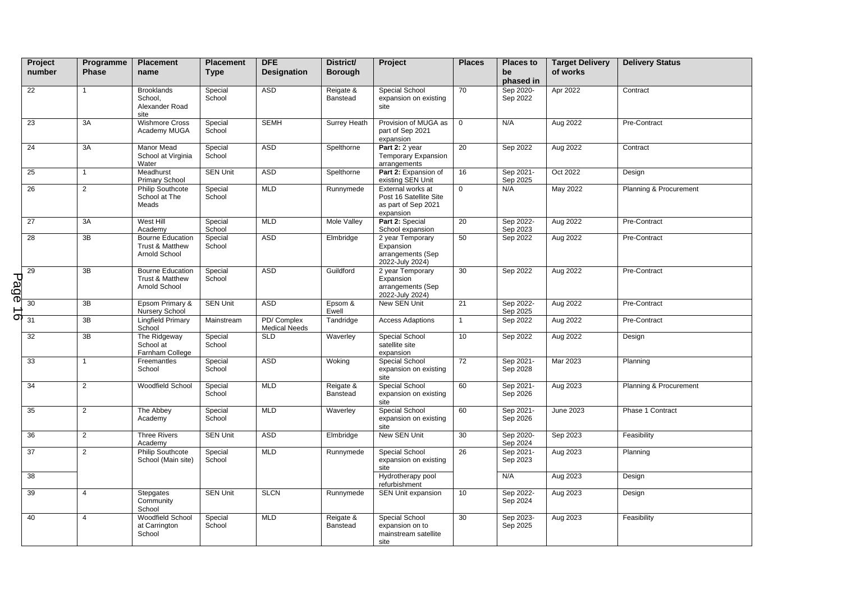|      | Project<br>number | Programme<br><b>Phase</b> | <b>Placement</b><br>name                                    | <b>Placement</b><br><b>Type</b> | <b>DFE</b><br><b>Designation</b>   | District/<br><b>Borough</b> | Project                                                                         | <b>Places</b>   | <b>Places to</b><br>be<br>phased in | <b>Target Delivery</b><br>of works | <b>Delivery Status</b> |
|------|-------------------|---------------------------|-------------------------------------------------------------|---------------------------------|------------------------------------|-----------------------------|---------------------------------------------------------------------------------|-----------------|-------------------------------------|------------------------------------|------------------------|
|      | 22                | $\mathbf{1}$              | <b>Brooklands</b><br>School,<br>Alexander Road<br>site      | Special<br>School               | <b>ASD</b>                         | Reigate &<br>Banstead       | Special School<br>expansion on existing<br>site                                 | 70              | Sep 2020-<br>Sep 2022               | Apr 2022                           | Contract               |
|      | 23                | 3A                        | <b>Wishmore Cross</b><br>Academy MUGA                       | Special<br>School               | <b>SEMH</b>                        | <b>Surrey Heath</b>         | Provision of MUGA as<br>part of Sep 2021<br>expansion                           | $\mathbf 0$     | N/A                                 | Aug 2022                           | Pre-Contract           |
|      | 24                | 3A                        | Manor Mead<br>School at Virginia<br>Water                   | Special<br>School               | <b>ASD</b>                         | Spelthorne                  | Part 2: 2 year<br><b>Temporary Expansion</b><br>arrangements                    | 20              | Sep 2022                            | Aug 2022                           | Contract               |
|      | 25                | $\mathbf{1}$              | Meadhurst<br><b>Primary School</b>                          | <b>SEN Unit</b>                 | <b>ASD</b>                         | Spelthorne                  | Part 2: Expansion of<br>existing SEN Unit                                       | 16              | Sep 2021-<br>Sep 2025               | Oct 2022                           | Design                 |
|      | 26                | $\overline{2}$            | Philip Southcote<br>School at The<br>Meads                  | Special<br>School               | <b>MLD</b>                         | Runnymede                   | External works at<br>Post 16 Satellite Site<br>as part of Sep 2021<br>expansion | $\mathbf 0$     | N/A                                 | May 2022                           | Planning & Procurement |
|      | 27                | 3A                        | West Hill<br>Academy                                        | Special<br>School               | <b>MLD</b>                         | <b>Mole Valley</b>          | Part 2: Special<br>School expansion                                             | 20              | Sep 2022-<br>Sep 2023               | Aug 2022                           | Pre-Contract           |
|      | $\overline{28}$   | 3B                        | <b>Bourne Education</b><br>Trust & Matthew<br>Arnold School | Special<br>School               | <b>ASD</b>                         | Elmbridge                   | 2 year Temporary<br>Expansion<br>arrangements (Sep<br>2022-July 2024)           | 50              | Sep 2022                            | Aug 2022                           | Pre-Contract           |
| Page | 29                | 3B                        | <b>Bourne Education</b><br>Trust & Matthew<br>Arnold School | Special<br>School               | <b>ASD</b>                         | Guildford                   | 2 year Temporary<br>Expansion<br>arrangements (Sep<br>2022-July 2024)           | 30              | Sep 2022                            | Aug 2022                           | Pre-Contract           |
|      | 30                | $\overline{3B}$           | Epsom Primary &<br>Nursery School                           | <b>SEN Unit</b>                 | <b>ASD</b>                         | Epsom &<br>Ewell            | New SEN Unit                                                                    | 21              | Sep 2022-<br>Sep 2025               | Aug 2022                           | Pre-Contract           |
| σ.   | 31                | 3B                        | Lingfield Primary<br>School                                 | Mainstream                      | PD/Complex<br><b>Medical Needs</b> | Tandridge                   | <b>Access Adaptions</b>                                                         | $\mathbf{1}$    | Sep 2022                            | Aug 2022                           | Pre-Contract           |
|      | 32                | $\overline{3B}$           | The Ridgeway<br>School at<br>Farnham College                | Special<br>School               | <b>SLD</b>                         | Waverley                    | Special School<br>satellite site<br>expansion                                   | 10              | Sep 2022                            | Aug 2022                           | Design                 |
|      | 33                | $\mathbf{1}$              | Freemantles<br>School                                       | Special<br>School               | <b>ASD</b>                         | Woking                      | Special School<br>expansion on existing<br>site                                 | $\overline{72}$ | Sep 2021-<br>Sep 2028               | Mar 2023                           | Planning               |
|      | 34                | $\overline{2}$            | Woodfield School                                            | Special<br>School               | <b>MLD</b>                         | Reigate &<br>Banstead       | Special School<br>expansion on existing<br>site                                 | 60              | Sep 2021-<br>Sep 2026               | Aug 2023                           | Planning & Procurement |
|      | 35                | $\overline{2}$            | The Abbey<br>Academy                                        | Special<br>School               | <b>MLD</b>                         | Waverley                    | Special School<br>expansion on existing<br>site                                 | 60              | Sep 2021-<br>Sep 2026               | June 2023                          | Phase 1 Contract       |
|      | 36                | $\overline{2}$            | <b>Three Rivers</b><br>Academy                              | <b>SEN Unit</b>                 | <b>ASD</b>                         | Elmbridge                   | New SEN Unit                                                                    | 30              | Sep 2020-<br>Sep 2024               | Sep 2023                           | Feasibility            |
|      | 37                | $\overline{2}$            | <b>Philip Southcote</b><br>School (Main site)               | Special<br>School               | <b>MLD</b>                         | Runnymede                   | Special School<br>expansion on existing<br>site                                 | 26              | Sep 2021-<br>Sep 2023               | Aug 2023                           | Planning               |
|      | 38                |                           |                                                             |                                 |                                    |                             | Hydrotherapy pool<br>refurbishment                                              |                 | N/A                                 | Aug 2023                           | Design                 |
|      | 39                | $\overline{4}$            | Stepgates<br>Community<br>School                            | <b>SEN Unit</b>                 | <b>SLCN</b>                        | Runnymede                   | SEN Unit expansion                                                              | 10              | Sep 2022-<br>Sep 2024               | Aug 2023                           | Design                 |
|      | 40                | $\overline{4}$            | Woodfield School<br>at Carrington<br>School                 | Special<br>School               | <b>MLD</b>                         | Reigate &<br>Banstead       | Special School<br>expansion on to<br>mainstream satellite<br>site               | 30              | Sep 2023-<br>Sep 2025               | Aug 2023                           | Feasibility            |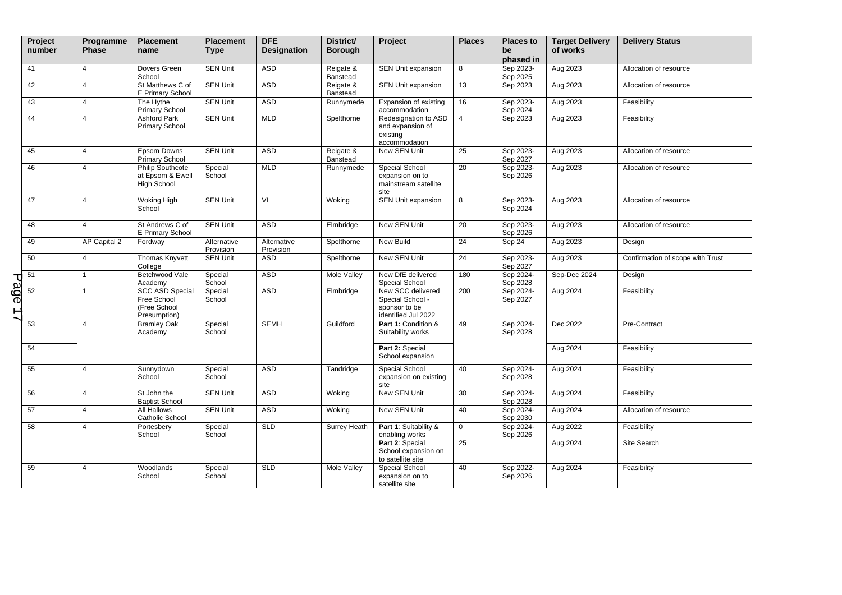|      | Project<br>number | Programme<br><b>Phase</b> | <b>Placement</b><br>name                                              | <b>Placement</b><br><b>Type</b> | <b>DFE</b><br><b>Designation</b> | District/<br><b>Borough</b> | Project                                                                       | <b>Places</b>   | <b>Places to</b><br>be<br>phased in | <b>Target Delivery</b><br>of works | <b>Delivery Status</b>           |
|------|-------------------|---------------------------|-----------------------------------------------------------------------|---------------------------------|----------------------------------|-----------------------------|-------------------------------------------------------------------------------|-----------------|-------------------------------------|------------------------------------|----------------------------------|
|      | 41                | $\overline{4}$            | Dovers Green<br>School                                                | <b>SEN Unit</b>                 | ASD                              | Reigate &<br>Banstead       | SEN Unit expansion                                                            | 8               | Sep 2023-<br>Sep 2025               | Aug 2023                           | Allocation of resource           |
|      | 42                | 4                         | St Matthews C of<br>E Primary School                                  | <b>SEN Unit</b>                 | <b>ASD</b>                       | Reigate &<br>Banstead       | SEN Unit expansion                                                            | 13              | Sep 2023                            | Aug 2023                           | Allocation of resource           |
|      | 43                | $\overline{4}$            | The Hythe<br>Primary School                                           | <b>SEN Unit</b>                 | ASD                              | Runnymede                   | Expansion of existing<br>accommodation                                        | 16              | Sep 2023-<br>Sep 2024               | Aug 2023                           | Feasibility                      |
|      | 44                | $\overline{4}$            | <b>Ashford Park</b><br><b>Primary School</b>                          | <b>SEN Unit</b>                 | <b>MLD</b>                       | Spelthorne                  | Redesignation to ASD<br>and expansion of<br>existing<br>accommodation         | $\overline{4}$  | Sep 2023                            | Aug 2023                           | Feasibility                      |
|      | 45                | $\overline{4}$            | Epsom Downs<br>Primary School                                         | <b>SEN Unit</b>                 | <b>ASD</b>                       | Reigate &<br>Banstead       | New SEN Unit                                                                  | 25              | Sep 2023-<br>Sep 2027               | Aug 2023                           | Allocation of resource           |
|      | 46                | 4                         | <b>Philip Southcote</b><br>at Epsom & Ewell<br><b>High School</b>     | Special<br>School               | <b>MLD</b>                       | Runnymede                   | Special School<br>expansion on to<br>mainstream satellite<br>site             | 20              | Sep 2023-<br>Sep 2026               | Aug 2023                           | Allocation of resource           |
|      | 47                | $\overline{4}$            | Woking High<br>School                                                 | <b>SEN Unit</b>                 | VI                               | Woking                      | SEN Unit expansion                                                            | 8               | Sep 2023-<br>Sep 2024               | Aug 2023                           | Allocation of resource           |
|      | 48                | 4                         | St Andrews C of<br>E Primary School                                   | <b>SEN Unit</b>                 | <b>ASD</b>                       | Elmbridge                   | New SEN Unit                                                                  | $\overline{20}$ | Sep 2023-<br>Sep 2026               | Aug 2023                           | Allocation of resource           |
|      | 49                | AP Capital 2              | Fordway                                                               | Alternative<br>Provision        | Alternative<br>Provision         | Spelthorne                  | New Build                                                                     | 24              | Sep 24                              | Aug 2023                           | Design                           |
|      | 50                | 4                         | Thomas Knyvett<br>College                                             | <b>SEN Unit</b>                 | <b>ASD</b>                       | Spelthorne                  | New SEN Unit                                                                  | 24              | Sep 2023-<br>Sep 2027               | Aug 2023                           | Confirmation of scope with Trust |
|      | 51                | $\mathbf{1}$              | Betchwood Vale<br>Academy                                             | Special<br>School               | <b>ASD</b>                       | Mole Valley                 | New DfE delivered<br>Special School                                           | 180             | Sep 2024-<br>Sep 2028               | Sep-Dec 2024                       | Design                           |
| Page | 52                |                           | <b>SCC ASD Special</b><br>Free School<br>(Free School<br>Presumption) | Special<br>School               | <b>ASD</b>                       | Elmbridge                   | New SCC delivered<br>Special School -<br>sponsor to be<br>identified Jul 2022 | 200             | Sep 2024-<br>Sep 2027               | Aug 2024                           | Feasibility                      |
|      | 53                | $\overline{\mathbf{4}}$   | <b>Bramley Oak</b><br>Academy                                         | Special<br>School               | <b>SEMH</b>                      | Guildford                   | Part 1: Condition &<br>Suitability works                                      | 49              | Sep 2024-<br>Sep 2028               | Dec 2022                           | Pre-Contract                     |
|      | 54                |                           |                                                                       |                                 |                                  |                             | Part 2: Special<br>School expansion                                           |                 |                                     | Aug 2024                           | Feasibility                      |
|      | 55                | $\overline{4}$            | Sunnydown<br>School                                                   | Special<br>School               | <b>ASD</b>                       | Tandridge                   | Special School<br>expansion on existing<br>site                               | 40              | Sep 2024-<br>Sep 2028               | Aug 2024                           | Feasibility                      |
|      | 56                | $\overline{4}$            | St John the<br><b>Baptist School</b>                                  | <b>SEN Unit</b>                 | <b>ASD</b>                       | Woking                      | New SEN Unit                                                                  | 30              | Sep 2024-<br>Sep 2028               | Aug 2024                           | Feasibility                      |
|      | 57                | $\overline{4}$            | All Hallows<br>Catholic School                                        | <b>SEN Unit</b>                 | ASD                              | Woking                      | New SEN Unit                                                                  | 40              | Sep 2024-<br>Sep 2030               | Aug 2024                           | Allocation of resource           |
|      | 58                | 4                         | Portesbery<br>School                                                  | Special<br>School               | <b>SLD</b>                       | Surrey Heath                | Part 1: Suitability &<br>enabling works                                       | $\mathbf 0$     | Sep 2024-<br>Sep 2026               | Aug 2022                           | Feasibility                      |
|      |                   |                           |                                                                       |                                 |                                  |                             | Part 2: Special<br>School expansion on<br>to satellite site                   | 25              |                                     | Aug 2024                           | Site Search                      |
|      | 59                | $\overline{4}$            | Woodlands<br>School                                                   | Special<br>School               | <b>SLD</b>                       | Mole Valley                 | Special School<br>expansion on to<br>satellite site                           | 40              | Sep 2022-<br>Sep 2026               | Aug 2024                           | Feasibility                      |